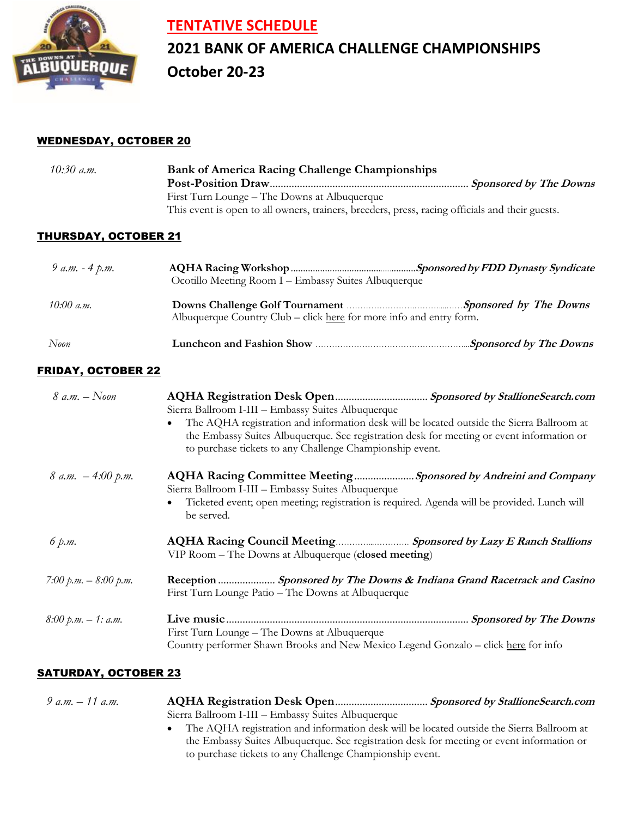

### **TENTATIVE SCHEDULE**

## **2021 BANK OF AMERICA CHALLENGE CHAMPIONSHIPS October 20-23**

#### WEDNESDAY, OCTOBER 20

| $10:30$ a.m. | <b>Bank of America Racing Challenge Championships</b>                                           |  |
|--------------|-------------------------------------------------------------------------------------------------|--|
|              |                                                                                                 |  |
|              | First Turn Lounge – The Downs at Albuquerque                                                    |  |
|              | This event is open to all owners, trainers, breeders, press, racing officials and their guests. |  |

#### THURSDAY, OCTOBER 21

| 9 a.m. $-4$ p.m. | Ocotillo Meeting Room I – Embassy Suites Albuquerque                                                                                                   |  |
|------------------|--------------------------------------------------------------------------------------------------------------------------------------------------------|--|
| 10:00 a.m.       | Downs Challenge Golf Tournament <b><i>Colfradity</i></b> Sponsored by The Downs<br>Albuquerque Country Club – click here for more info and entry form. |  |
| Noon             |                                                                                                                                                        |  |

#### FRIDAY, OCTOBER 22

| 8 a.m. $-$ Noon         | Sierra Ballroom I-III - Embassy Suites Albuquerque                                                                                                                                                                                                              |  |  |
|-------------------------|-----------------------------------------------------------------------------------------------------------------------------------------------------------------------------------------------------------------------------------------------------------------|--|--|
|                         | The AQHA registration and information desk will be located outside the Sierra Ballroom at<br>$\bullet$<br>the Embassy Suites Albuquerque. See registration desk for meeting or event information or<br>to purchase tickets to any Challenge Championship event. |  |  |
| $8 a.m. -4:00 p.m.$     | AQHA Racing Committee Meeting Sponsored by Andreini and Company<br>Sierra Ballroom I-III - Embassy Suites Albuquerque                                                                                                                                           |  |  |
|                         | Ticketed event; open meeting; registration is required. Agenda will be provided. Lunch will<br>be served.                                                                                                                                                       |  |  |
| 6 p.m.                  | AQHA Racing Council Meeting Sponsored by Lazy E Ranch Stallions<br>VIP Room – The Downs at Albuquerque (closed meeting)                                                                                                                                         |  |  |
| 7:00 $p.m. - 8:00 p.m.$ | Reception  Sponsored by The Downs & Indiana Grand Racetrack and Casino<br>First Turn Lounge Patio – The Downs at Albuquerque                                                                                                                                    |  |  |
| $8.00 \ p.m. - 1: a.m.$ | <b>Sponsored by The Downs</b><br>First Turn Lounge – The Downs at Albuquerque<br>Country performer Shawn Brooks and New Mexico Legend Gonzalo - click here for info                                                                                             |  |  |

#### SATURDAY, OCTOBER 23

| 9 a.m. $-11$ a.m. |                                                                                             |
|-------------------|---------------------------------------------------------------------------------------------|
|                   | Sierra Ballroom I-III - Embassy Suites Albuquerque                                          |
|                   | • The AQHA registration and information desk will be located outside the Sierra Ballroom at |
|                   | the Embassy Suites Albuquerque. See registration desk for meeting or event information or   |
|                   | to purchase tickets to any Challenge Championship event.                                    |